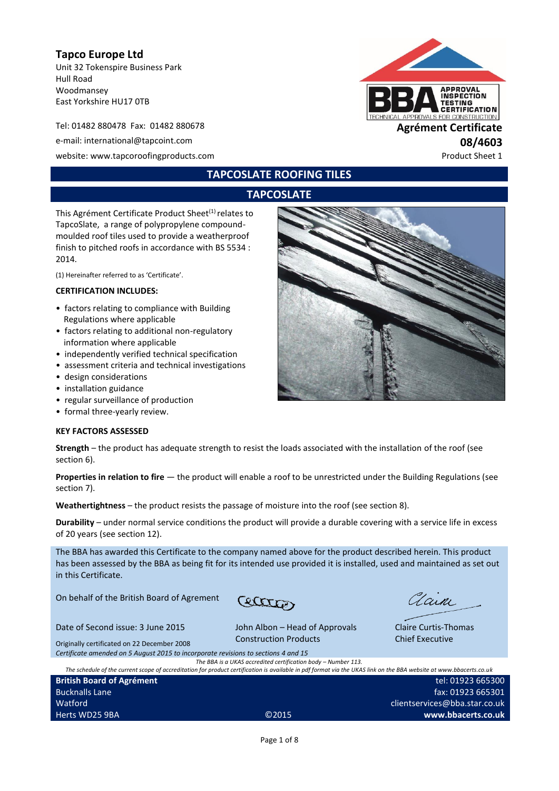## **Tapco Europe Ltd**

Unit 32 Tokenspire Business Park Hull Road Woodmansey East Yorkshire HU17 0TB

Tel: 01482 880478 Fax: 01482 880678 **Agrément Certificate** e-mail: international@tapcoint.com **08/4603** website: www.tapcoroofingproducts.com example and the example of the example of the Product Sheet 1



## **TAPCOSLATE ROOFING TILES**

## **TAPCOSLATE**

This Agrément Certificate Product Sheet<sup>(1)</sup> relates to TapcoSlate, a range of polypropylene compoundmoulded roof tiles used to provide a weatherproof finish to pitched roofs in accordance with BS 5534 : 2014.

(1) Hereinafter referred to as 'Certificate'.

#### **CERTIFICATION INCLUDES:**

- factors relating to compliance with Building Regulations where applicable
- factors relating to additional non-regulatory information where applicable
- independently verified technical specification
- assessment criteria and technical investigations
- design considerations
- installation guidance
- regular surveillance of production
- formal three-yearly review.

#### **KEY FACTORS ASSESSED**

**Strength** – the product has adequate strength to resist the loads associated with the installation of the roof (see section 6).

**Properties in relation to fire** — the product will enable a roof to be unrestricted under the Building Regulations (see section 7).

**Weathertightness** – the product resists the passage of moisture into the roof (see section 8).

**Durability** – under normal service conditions the product will provide a durable covering with a service life in excess of 20 years (see section 12).

The BBA has awarded this Certificate to the company named above for the product described herein. This product has been assessed by the BBA as being fit for its intended use provided it is installed, used and maintained as set out in this Certificate.

On behalf of the British Board of Agrement

Cattles

Date of Second issue: 3 June 2015

**British Board of Agrément**

Bucknalls Lane Watford

John Albon – Head of Approvals Construction Products

Clain

Claire Curtis-Thomas Chief Executive

Originally certificated on 22 December 2008 *Certificate amended on 5 August 2015 to incorporate revisions to sections 4 and 15*

*The BBA is a UKAS accredited certification body – Number 113.*

*The schedule of the current scope of accreditation for product certification is available in pdf format via the UKAS link on the BBA website at www.bbacerts.co.uk* Herts WD25 9BA ©2015 tel: 01923 665300 fax: 01923 665301 clientservices@bba.star.co.uk **www.bbacerts.co.uk**

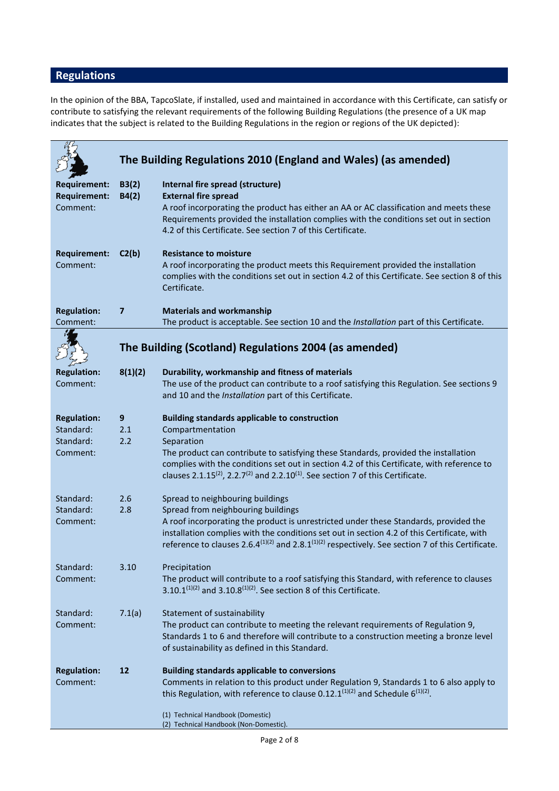# **Regulations**

In the opinion of the BBA, TapcoSlate, if installed, used and maintained in accordance with this Certificate, can satisfy or contribute to satisfying the relevant requirements of the following Building Regulations (the presence of a UK map indicates that the subject is related to the Building Regulations in the region or regions of the UK depicted):

|                                 |                         | The Building Regulations 2010 (England and Wales) (as amended)                                                                                                                       |
|---------------------------------|-------------------------|--------------------------------------------------------------------------------------------------------------------------------------------------------------------------------------|
|                                 |                         |                                                                                                                                                                                      |
| <b>Requirement:</b>             | B3(2)                   | Internal fire spread (structure)                                                                                                                                                     |
| <b>Requirement:</b><br>Comment: | B4(2)                   | <b>External fire spread</b><br>A roof incorporating the product has either an AA or AC classification and meets these                                                                |
|                                 |                         | Requirements provided the installation complies with the conditions set out in section                                                                                               |
|                                 |                         | 4.2 of this Certificate. See section 7 of this Certificate.                                                                                                                          |
| <b>Requirement:</b>             | C2(b)                   | <b>Resistance to moisture</b>                                                                                                                                                        |
| Comment:                        |                         | A roof incorporating the product meets this Requirement provided the installation                                                                                                    |
|                                 |                         | complies with the conditions set out in section 4.2 of this Certificate. See section 8 of this<br>Certificate.                                                                       |
| <b>Regulation:</b>              | $\overline{\mathbf{z}}$ | <b>Materials and workmanship</b>                                                                                                                                                     |
| Comment:                        |                         | The product is acceptable. See section 10 and the Installation part of this Certificate.                                                                                             |
|                                 |                         | The Building (Scotland) Regulations 2004 (as amended)                                                                                                                                |
| <b>Regulation:</b>              | 8(1)(2)                 | Durability, workmanship and fitness of materials                                                                                                                                     |
| Comment:                        |                         | The use of the product can contribute to a roof satisfying this Regulation. See sections 9                                                                                           |
|                                 |                         | and 10 and the Installation part of this Certificate.                                                                                                                                |
| <b>Regulation:</b>              | $9$                     | <b>Building standards applicable to construction</b>                                                                                                                                 |
| Standard:                       | 2.1                     | Compartmentation                                                                                                                                                                     |
| Standard:<br>Comment:           | 2.2                     | Separation<br>The product can contribute to satisfying these Standards, provided the installation                                                                                    |
|                                 |                         | complies with the conditions set out in section 4.2 of this Certificate, with reference to                                                                                           |
|                                 |                         | clauses 2.1.15 <sup>(2)</sup> , 2.2.7 <sup>(2)</sup> and 2.2.10 <sup>(1)</sup> . See section 7 of this Certificate.                                                                  |
| Standard:                       | 2.6                     | Spread to neighbouring buildings                                                                                                                                                     |
| Standard:                       | 2.8                     | Spread from neighbouring buildings                                                                                                                                                   |
| Comment:                        |                         | A roof incorporating the product is unrestricted under these Standards, provided the<br>installation complies with the conditions set out in section 4.2 of this Certificate, with   |
|                                 |                         | reference to clauses 2.6.4 <sup>(1)(2)</sup> and 2.8.1 <sup>(1)(2)</sup> respectively. See section 7 of this Certificate.                                                            |
| Standard:                       | 3.10                    | Precipitation                                                                                                                                                                        |
| Comment:                        |                         | The product will contribute to a roof satisfying this Standard, with reference to clauses                                                                                            |
|                                 |                         | $3.10.1^{(1)(2)}$ and $3.10.8^{(1)(2)}$ . See section 8 of this Certificate.                                                                                                         |
| Standard:                       | 7.1(a)                  | Statement of sustainability                                                                                                                                                          |
| Comment:                        |                         | The product can contribute to meeting the relevant requirements of Regulation 9,                                                                                                     |
|                                 |                         | Standards 1 to 6 and therefore will contribute to a construction meeting a bronze level<br>of sustainability as defined in this Standard.                                            |
|                                 |                         |                                                                                                                                                                                      |
| <b>Regulation:</b>              | 12                      | <b>Building standards applicable to conversions</b>                                                                                                                                  |
| Comment:                        |                         | Comments in relation to this product under Regulation 9, Standards 1 to 6 also apply to<br>this Regulation, with reference to clause 0.12.1 $^{(1)(2)}$ and Schedule 6 $^{(1)(2)}$ . |
|                                 |                         | (1) Technical Handbook (Domestic)                                                                                                                                                    |
|                                 |                         | (2) Technical Handbook (Non-Domestic).                                                                                                                                               |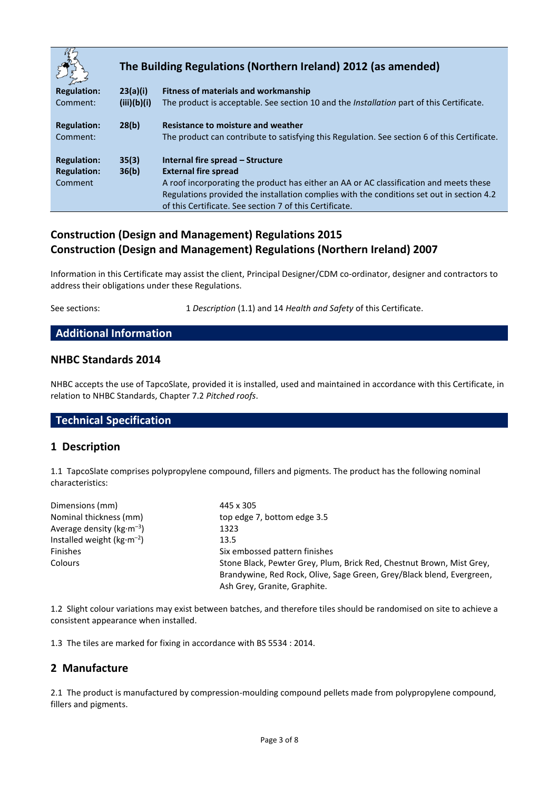|                    |             | The Building Regulations (Northern Ireland) 2012 (as amended)                                                                                        |  |  |
|--------------------|-------------|------------------------------------------------------------------------------------------------------------------------------------------------------|--|--|
| <b>Regulation:</b> | 23(a)(i)    | <b>Fitness of materials and workmanship</b>                                                                                                          |  |  |
| Comment:           | (iii)(b)(i) | The product is acceptable. See section 10 and the <i>Installation</i> part of this Certificate.                                                      |  |  |
| <b>Regulation:</b> | 28(b)       | Resistance to moisture and weather                                                                                                                   |  |  |
| Comment:           |             | The product can contribute to satisfying this Regulation. See section 6 of this Certificate.                                                         |  |  |
| <b>Regulation:</b> | 35(3)       | Internal fire spread – Structure                                                                                                                     |  |  |
| <b>Regulation:</b> | 36(b)       | <b>External fire spread</b>                                                                                                                          |  |  |
| Comment            |             | A roof incorporating the product has either an AA or AC classification and meets these                                                               |  |  |
|                    |             | Regulations provided the installation complies with the conditions set out in section 4.2<br>of this Certificate. See section 7 of this Certificate. |  |  |

# **Construction (Design and Management) Regulations 2015 Construction (Design and Management) Regulations (Northern Ireland) 2007**

Information in this Certificate may assist the client, Principal Designer/CDM co-ordinator, designer and contractors to address their obligations under these Regulations.

See sections: 1 *Description* (1.1) and 14 *Health and Safety* of this Certificate.

## **Additional Information**

#### **NHBC Standards 2014**

NHBC accepts the use of TapcoSlate, provided it is installed, used and maintained in accordance with this Certificate, in relation to NHBC Standards, Chapter 7.2 *Pitched roofs*.

## **Technical Specification**

#### **1 Description**

1.1 TapcoSlate comprises polypropylene compound, fillers and pigments. The product has the following nominal characteristics:

| Dimensions (mm)               | 445 x 305                                                                                                                                                                      |  |  |
|-------------------------------|--------------------------------------------------------------------------------------------------------------------------------------------------------------------------------|--|--|
| Nominal thickness (mm)        | top edge 7, bottom edge 3.5                                                                                                                                                    |  |  |
| Average density ( $kg·m-3$ )  | 1323                                                                                                                                                                           |  |  |
| Installed weight ( $kg·m-2$ ) | 13.5                                                                                                                                                                           |  |  |
| <b>Finishes</b>               | Six embossed pattern finishes                                                                                                                                                  |  |  |
| <b>Colours</b>                | Stone Black, Pewter Grey, Plum, Brick Red, Chestnut Brown, Mist Grey,<br>Brandywine, Red Rock, Olive, Sage Green, Grey/Black blend, Evergreen,<br>Ash Grey, Granite, Graphite. |  |  |

1.2 Slight colour variations may exist between batches, and therefore tiles should be randomised on site to achieve a consistent appearance when installed.

1.3 The tiles are marked for fixing in accordance with BS 5534 : 2014.

#### **2 Manufacture**

2.1 The product is manufactured by compression-moulding compound pellets made from polypropylene compound, fillers and pigments.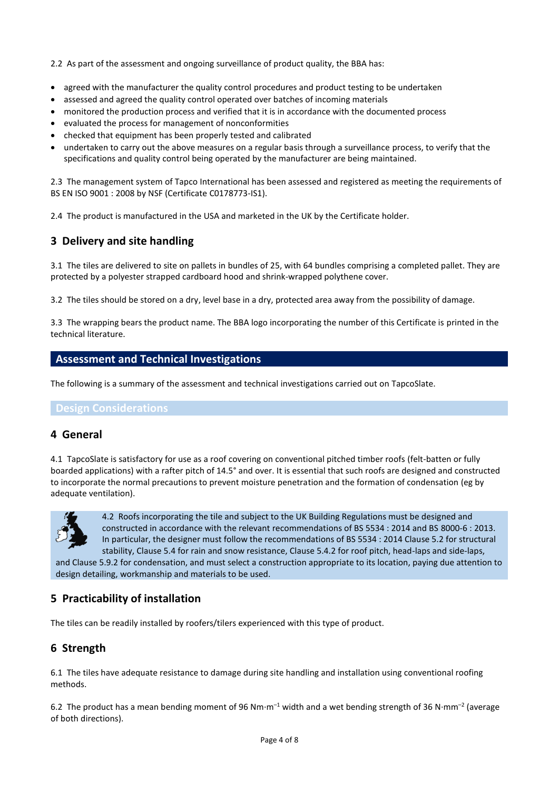2.2 As part of the assessment and ongoing surveillance of product quality, the BBA has:

- agreed with the manufacturer the quality control procedures and product testing to be undertaken
- assessed and agreed the quality control operated over batches of incoming materials
- monitored the production process and verified that it is in accordance with the documented process
- evaluated the process for management of nonconformities
- checked that equipment has been properly tested and calibrated
- undertaken to carry out the above measures on a regular basis through a surveillance process, to verify that the specifications and quality control being operated by the manufacturer are being maintained.

2.3 The management system of Tapco International has been assessed and registered as meeting the requirements of BS EN ISO 9001 : 2008 by NSF (Certificate C0178773-IS1).

2.4 The product is manufactured in the USA and marketed in the UK by the Certificate holder.

## **3 Delivery and site handling**

3.1 The tiles are delivered to site on pallets in bundles of 25, with 64 bundles comprising a completed pallet. They are protected by a polyester strapped cardboard hood and shrink-wrapped polythene cover.

3.2 The tiles should be stored on a dry, level base in a dry, protected area away from the possibility of damage.

3.3 The wrapping bears the product name. The BBA logo incorporating the number of this Certificate is printed in the technical literature.

#### **Assessment and Technical Investigations**

The following is a summary of the assessment and technical investigations carried out on TapcoSlate.

#### **Design Considerations**

#### **4 General**

4.1 TapcoSlate is satisfactory for use as a roof covering on conventional pitched timber roofs (felt-batten or fully boarded applications) with a rafter pitch of 14.5° and over. It is essential that such roofs are designed and constructed to incorporate the normal precautions to prevent moisture penetration and the formation of condensation (eg by adequate ventilation).



4.2 Roofs incorporating the tile and subject to the UK Building Regulations must be designed and constructed in accordance with the relevant recommendations of BS 5534 : 2014 and BS 8000-6 : 2013. In particular, the designer must follow the recommendations of BS 5534 : 2014 Clause 5.2 for structural stability, Clause 5.4 for rain and snow resistance, Clause 5.4.2 for roof pitch, head-laps and side-laps, and Clause 5.9.2 for condensation, and must select a construction appropriate to its location, paying due attention to design detailing, workmanship and materials to be used.

## **5 Practicability of installation**

The tiles can be readily installed by roofers/tilers experienced with this type of product.

## **6 Strength**

6.1 The tiles have adequate resistance to damage during site handling and installation using conventional roofing methods.

6.2 The product has a mean bending moment of 96 Nm·m<sup>-1</sup> width and a wet bending strength of 36 N·mm<sup>-2</sup> (average of both directions).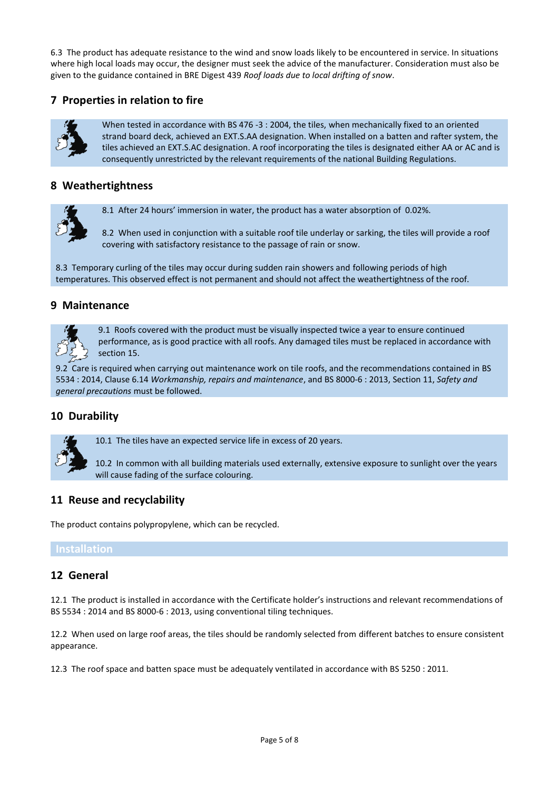6.3 The product has adequate resistance to the wind and snow loads likely to be encountered in service. In situations where high local loads may occur, the designer must seek the advice of the manufacturer. Consideration must also be given to the guidance contained in BRE Digest 439 *Roof loads due to local drifting of snow*.

## **7 Properties in relation to fire**



When tested in accordance with BS 476 -3 : 2004, the tiles, when mechanically fixed to an oriented strand board deck, achieved an EXT.S.AA designation. When installed on a batten and rafter system, the tiles achieved an EXT.S.AC designation. A roof incorporating the tiles is designated either AA or AC and is consequently unrestricted by the relevant requirements of the national Building Regulations.

## **8 Weathertightness**

8.1 After 24 hours' immersion in water, the product has a water absorption of 0.02%.

8.2 When used in conjunction with a suitable roof tile underlay or sarking, the tiles will provide a roof covering with satisfactory resistance to the passage of rain or snow.

8.3 Temporary curling of the tiles may occur during sudden rain showers and following periods of high temperatures. This observed effect is not permanent and should not affect the weathertightness of the roof.

#### **9 Maintenance**



9.1 Roofs covered with the product must be visually inspected twice a year to ensure continued performance, as is good practice with all roofs. Any damaged tiles must be replaced in accordance with section 15.

9.2 Care is required when carrying out maintenance work on tile roofs, and the recommendations contained in BS 5534 : 2014, Clause 6.14 *Workmanship, repairs and maintenance*, and BS 8000-6 : 2013, Section 11, *Safety and general precautions* must be followed.

#### **10 Durability**

10.1 The tiles have an expected service life in excess of 20 years.

10.2 In common with all building materials used externally, extensive exposure to sunlight over the years will cause fading of the surface colouring.

#### **11 Reuse and recyclability**

The product contains polypropylene, which can be recycled.

#### **12 General**

12.1 The product is installed in accordance with the Certificate holder's instructions and relevant recommendations of BS 5534 : 2014 and BS 8000-6 : 2013, using conventional tiling techniques.

12.2 When used on large roof areas, the tiles should be randomly selected from different batches to ensure consistent appearance.

12.3 The roof space and batten space must be adequately ventilated in accordance with BS 5250 : 2011.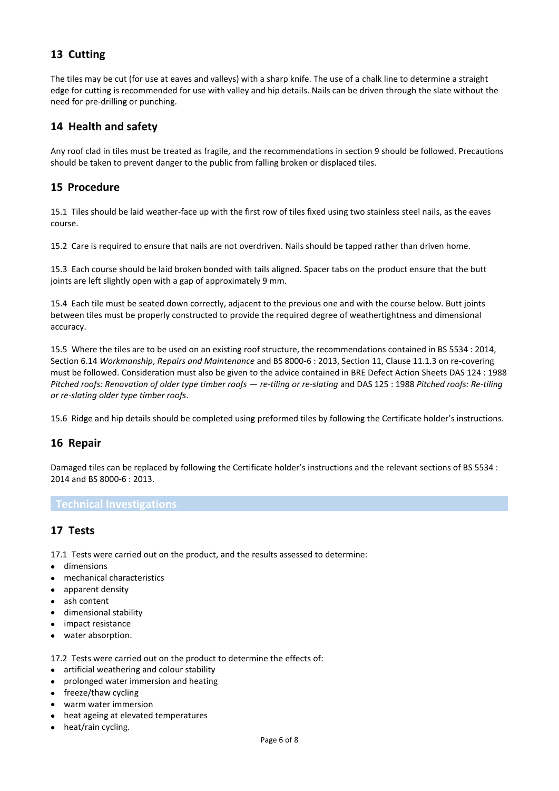## **13 Cutting**

The tiles may be cut (for use at eaves and valleys) with a sharp knife. The use of a chalk line to determine a straight edge for cutting is recommended for use with valley and hip details. Nails can be driven through the slate without the need for pre-drilling or punching.

## **14 Health and safety**

Any roof clad in tiles must be treated as fragile, and the recommendations in section 9 should be followed. Precautions should be taken to prevent danger to the public from falling broken or displaced tiles.

## **15 Procedure**

15.1 Tiles should be laid weather-face up with the first row of tiles fixed using two stainless steel nails, as the eaves course.

15.2 Care is required to ensure that nails are not overdriven. Nails should be tapped rather than driven home.

15.3 Each course should be laid broken bonded with tails aligned. Spacer tabs on the product ensure that the butt joints are left slightly open with a gap of approximately 9 mm.

15.4 Each tile must be seated down correctly, adjacent to the previous one and with the course below. Butt joints between tiles must be properly constructed to provide the required degree of weathertightness and dimensional accuracy.

15.5 Where the tiles are to be used on an existing roof structure, the recommendations contained in BS 5534 : 2014, Section 6.14 *Workmanship*, *Repairs and Maintenance* and BS 8000-6 : 2013, Section 11, Clause 11.1.3 on re-covering must be followed. Consideration must also be given to the advice contained in BRE Defect Action Sheets DAS 124 : 1988 *Pitched roofs: Renovation of older type timber roofs — re-tiling or re-slating* and DAS 125 : 1988 *Pitched roofs: Re-tiling or re-slating older type timber roofs*.

15.6 Ridge and hip details should be completed using preformed tiles by following the Certificate holder's instructions.

#### **16 Repair**

Damaged tiles can be replaced by following the Certificate holder's instructions and the relevant sections of BS 5534 : 2014 and BS 8000-6 : 2013.

#### **Technical Investigations**

## **17 Tests**

17.1 Tests were carried out on the product, and the results assessed to determine:

- dimensions
- mechanical characteristics
- apparent density
- ash content
- dimensional stability
- impact resistance
- water absorption.
- 17.2 Tests were carried out on the product to determine the effects of:
- artificial weathering and colour stability
- prolonged water immersion and heating
- freeze/thaw cycling
- warm water immersion
- heat ageing at elevated temperatures
- heat/rain cycling.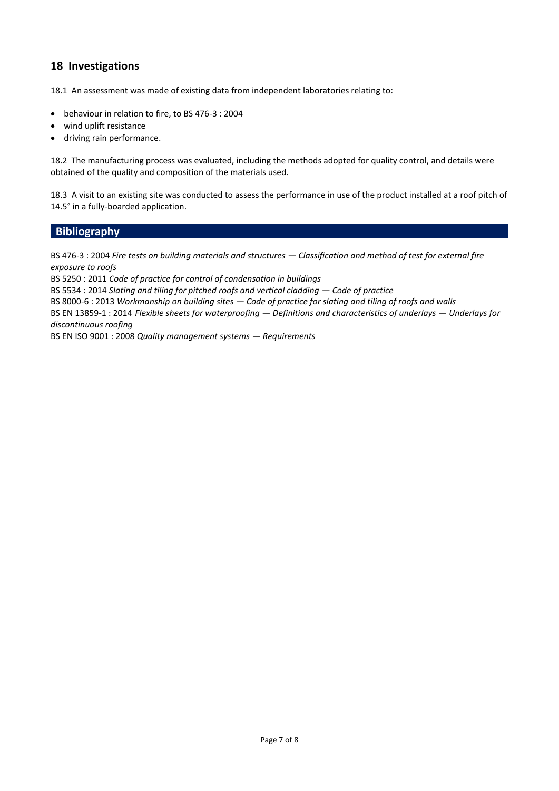## **18 Investigations**

18.1 An assessment was made of existing data from independent laboratories relating to:

- behaviour in relation to fire, to BS 476-3 : 2004
- wind uplift resistance
- driving rain performance.

18.2 The manufacturing process was evaluated, including the methods adopted for quality control, and details were obtained of the quality and composition of the materials used.

18.3 A visit to an existing site was conducted to assess the performance in use of the product installed at a roof pitch of 14.5° in a fully-boarded application.

## **Bibliography**

BS 476-3 : 2004 *Fire tests on building materials and structures — Classification and method of test for external fire exposure to roofs*

BS 5250 : 2011 *Code of practice for control of condensation in buildings*

BS 5534 : 2014 *Slating and tiling for pitched roofs and vertical cladding — Code of practice*

BS 8000-6 : 2013 *Workmanship on building sites — Code of practice for slating and tiling of roofs and walls*

BS EN 13859-1 : 2014 *Flexible sheets for waterproofing — Definitions and characteristics of underlays — Underlays for discontinuous roofing*

BS EN ISO 9001 : 2008 *Quality management systems — Requirements*